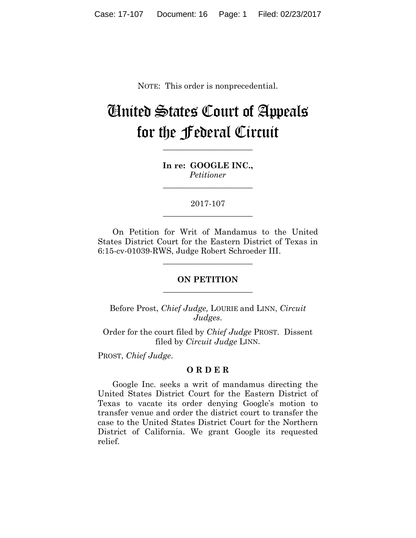NOTE: This order is nonprecedential.

# United States Court of Appeals for the Federal Circuit

**In re: GOOGLE INC.,** *Petitioner*

**\_\_\_\_\_\_\_\_\_\_\_\_\_\_\_\_\_\_\_\_\_\_**

**\_\_\_\_\_\_\_\_\_\_\_\_\_\_\_\_\_\_\_\_\_\_**

2017-107 **\_\_\_\_\_\_\_\_\_\_\_\_\_\_\_\_\_\_\_\_\_\_**

On Petition for Writ of Mandamus to the United States District Court for the Eastern District of Texas in 6:15-cv-01039-RWS, Judge Robert Schroeder III.

#### **ON PETITION \_\_\_\_\_\_\_\_\_\_\_\_\_\_\_\_\_\_\_\_\_\_**

**\_\_\_\_\_\_\_\_\_\_\_\_\_\_\_\_\_\_\_\_\_\_**

Before Prost, *Chief Judge,* LOURIE and LINN, *Circuit Judges*.

Order for the court filed by *Chief Judge* PROST. Dissent filed by *Circuit Judge* LINN.

PROST, *Chief Judge*.

#### **O R D E R**

Google Inc. seeks a writ of mandamus directing the United States District Court for the Eastern District of Texas to vacate its order denying Google's motion to transfer venue and order the district court to transfer the case to the United States District Court for the Northern District of California. We grant Google its requested relief.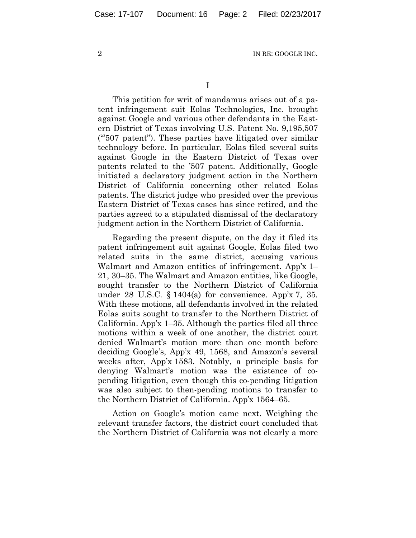I

This petition for writ of mandamus arises out of a patent infringement suit Eolas Technologies, Inc. brought against Google and various other defendants in the Eastern District of Texas involving U.S. Patent No. 9,195,507 ("'507 patent"). These parties have litigated over similar technology before. In particular, Eolas filed several suits against Google in the Eastern District of Texas over patents related to the '507 patent. Additionally, Google initiated a declaratory judgment action in the Northern District of California concerning other related Eolas patents. The district judge who presided over the previous Eastern District of Texas cases has since retired, and the parties agreed to a stipulated dismissal of the declaratory judgment action in the Northern District of California.

Regarding the present dispute, on the day it filed its patent infringement suit against Google, Eolas filed two related suits in the same district, accusing various Walmart and Amazon entities of infringement. App'x 1– 21, 30–35. The Walmart and Amazon entities, like Google, sought transfer to the Northern District of California under 28 U.S.C. § 1404(a) for convenience. App'x 7, 35*.*  With these motions, all defendants involved in the related Eolas suits sought to transfer to the Northern District of California. App'x 1–35. Although the parties filed all three motions within a week of one another, the district court denied Walmart's motion more than one month before deciding Google's, App'x 49, 1568, and Amazon's several weeks after, App'x 1583. Notably, a principle basis for denying Walmart's motion was the existence of copending litigation, even though this co-pending litigation was also subject to then-pending motions to transfer to the Northern District of California. App'x 1564–65.

Action on Google's motion came next. Weighing the relevant transfer factors, the district court concluded that the Northern District of California was not clearly a more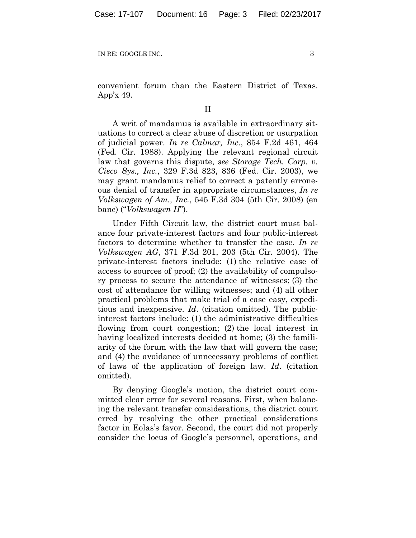convenient forum than the Eastern District of Texas. App'x 49.

### II

A writ of mandamus is available in extraordinary situations to correct a clear abuse of discretion or usurpation of judicial power. *In re Calmar, Inc.*, 854 F.2d 461, 464 (Fed. Cir. 1988). Applying the relevant regional circuit law that governs this dispute, *see Storage Tech. Corp. v. Cisco Sys., Inc.*, 329 F.3d 823, 836 (Fed. Cir. 2003), we may grant mandamus relief to correct a patently erroneous denial of transfer in appropriate circumstances, *In re Volkswagen of Am., Inc.*, 545 F.3d 304 (5th Cir. 2008) (en banc) ("*Volkswagen II*").

Under Fifth Circuit law, the district court must balance four private-interest factors and four public-interest factors to determine whether to transfer the case. *In re Volkswagen AG*, 371 F.3d 201, 203 (5th Cir. 2004). The private-interest factors include: (1) the relative ease of access to sources of proof; (2) the availability of compulsory process to secure the attendance of witnesses; (3) the cost of attendance for willing witnesses; and (4) all other practical problems that make trial of a case easy, expeditious and inexpensive. *Id*. (citation omitted). The publicinterest factors include: (1) the administrative difficulties flowing from court congestion; (2) the local interest in having localized interests decided at home; (3) the familiarity of the forum with the law that will govern the case; and (4) the avoidance of unnecessary problems of conflict of laws of the application of foreign law. *Id*. (citation omitted).

By denying Google's motion, the district court committed clear error for several reasons. First, when balancing the relevant transfer considerations, the district court erred by resolving the other practical considerations factor in Eolas's favor. Second, the court did not properly consider the locus of Google's personnel, operations, and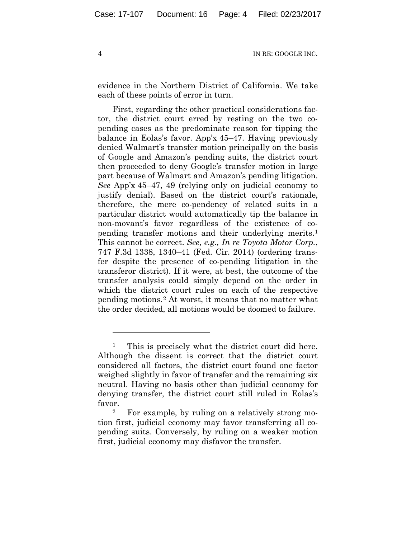evidence in the Northern District of California. We take each of these points of error in turn.

First, regarding the other practical considerations factor, the district court erred by resting on the two copending cases as the predominate reason for tipping the balance in Eolas's favor. App'x 45–47. Having previously denied Walmart's transfer motion principally on the basis of Google and Amazon's pending suits, the district court then proceeded to deny Google's transfer motion in large part because of Walmart and Amazon's pending litigation. *See* App'x 45–47, 49 (relying only on judicial economy to justify denial). Based on the district court's rationale, therefore, the mere co-pendency of related suits in a particular district would automatically tip the balance in non-movant's favor regardless of the existence of copending transfer motions and their underlying merits.[1](#page-3-0) This cannot be correct. *See, e.g., In re Toyota Motor Corp.*, 747 F.3d 1338, 1340–41 (Fed. Cir. 2014) (ordering transfer despite the presence of co-pending litigation in the transferor district). If it were, at best, the outcome of the transfer analysis could simply depend on the order in which the district court rules on each of the respective pending motions.[2](#page-3-1) At worst, it means that no matter what the order decided, all motions would be doomed to failure.

 $\overline{a}$ 

<span id="page-3-0"></span><sup>1</sup> This is precisely what the district court did here. Although the dissent is correct that the district court considered all factors, the district court found one factor weighed slightly in favor of transfer and the remaining six neutral. Having no basis other than judicial economy for denying transfer, the district court still ruled in Eolas's favor.

<span id="page-3-1"></span><sup>2</sup> For example, by ruling on a relatively strong motion first, judicial economy may favor transferring all copending suits. Conversely, by ruling on a weaker motion first, judicial economy may disfavor the transfer.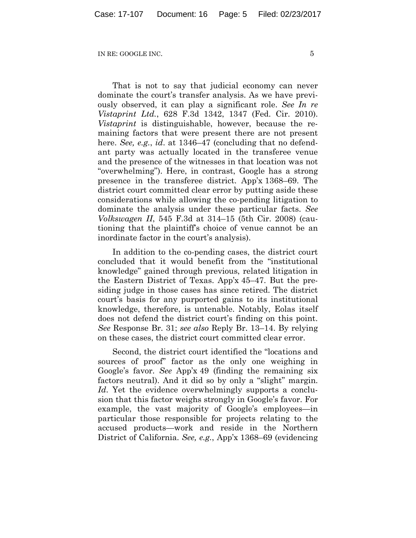That is not to say that judicial economy can never dominate the court's transfer analysis. As we have previously observed, it can play a significant role. *See In re Vistaprint Ltd.*, 628 F.3d 1342, 1347 (Fed. Cir. 2010). *Vistaprint* is distinguishable, however, because the remaining factors that were present there are not present here. *See, e.g.*, *id*. at 1346–47 (concluding that no defendant party was actually located in the transferee venue and the presence of the witnesses in that location was not "overwhelming"). Here, in contrast, Google has a strong presence in the transferee district. App'x 1368–69. The district court committed clear error by putting aside these considerations while allowing the co-pending litigation to dominate the analysis under these particular facts. *See Volkswagen II*, 545 F.3d at 314–15 (5th Cir. 2008) (cautioning that the plaintiff's choice of venue cannot be an inordinate factor in the court's analysis).

In addition to the co-pending cases, the district court concluded that it would benefit from the "institutional knowledge" gained through previous, related litigation in the Eastern District of Texas. App'x 45–47. But the presiding judge in those cases has since retired. The district court's basis for any purported gains to its institutional knowledge, therefore, is untenable. Notably, Eolas itself does not defend the district court's finding on this point. *See* Response Br. 31; *see also* Reply Br. 13–14. By relying on these cases, the district court committed clear error.

Second, the district court identified the "locations and sources of proof" factor as the only one weighing in Google's favor. *See* App'x 49 (finding the remaining six factors neutral). And it did so by only a "slight" margin. *Id*. Yet the evidence overwhelmingly supports a conclusion that this factor weighs strongly in Google's favor. For example, the vast majority of Google's employees—in particular those responsible for projects relating to the accused products—work and reside in the Northern District of California. *See, e.g.*, App'x 1368–69 (evidencing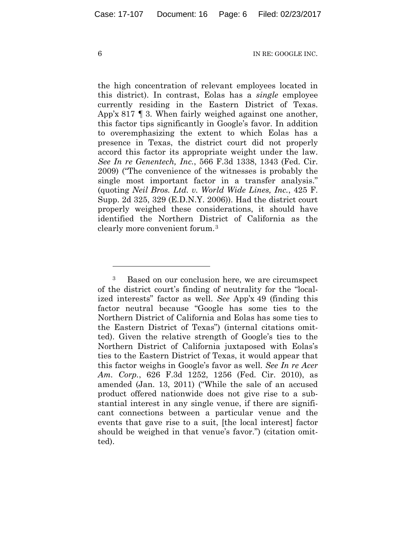the high concentration of relevant employees located in this district). In contrast, Eolas has a *single* employee currently residing in the Eastern District of Texas. App'x 817  $\parallel$  3. When fairly weighed against one another, this factor tips significantly in Google's favor. In addition to overemphasizing the extent to which Eolas has a presence in Texas, the district court did not properly accord this factor its appropriate weight under the law. *See In re Genentech, Inc.*, 566 F.3d 1338, 1343 (Fed. Cir. 2009) ("The convenience of the witnesses is probably the single most important factor in a transfer analysis." (quoting *Neil Bros. Ltd. v. World Wide Lines, Inc.*, 425 F. Supp. 2d 325, 329 (E.D.N.Y. 2006)). Had the district court properly weighed these considerations, it should have identified the Northern District of California as the clearly more convenient forum.[3](#page-5-0)

 $\overline{a}$ 

<span id="page-5-0"></span><sup>3</sup> Based on our conclusion here, we are circumspect of the district court's finding of neutrality for the "localized interests" factor as well. *See* App'x 49 (finding this factor neutral because "Google has some ties to the Northern District of California and Eolas has some ties to the Eastern District of Texas") (internal citations omitted). Given the relative strength of Google's ties to the Northern District of California juxtaposed with Eolas's ties to the Eastern District of Texas, it would appear that this factor weighs in Google's favor as well. *See In re Acer Am. Corp.*, 626 F.3d 1252, 1256 (Fed. Cir. 2010), as amended (Jan. 13, 2011) ("While the sale of an accused product offered nationwide does not give rise to a substantial interest in any single venue, if there are significant connections between a particular venue and the events that gave rise to a suit, [the local interest] factor should be weighed in that venue's favor.") (citation omitted).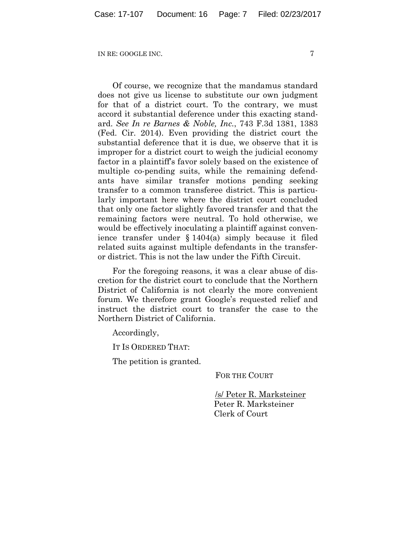Of course, we recognize that the mandamus standard does not give us license to substitute our own judgment for that of a district court. To the contrary, we must accord it substantial deference under this exacting standard. *See In re Barnes & Noble, Inc.*, 743 F.3d 1381, 1383 (Fed. Cir. 2014). Even providing the district court the substantial deference that it is due, we observe that it is improper for a district court to weigh the judicial economy factor in a plaintiff's favor solely based on the existence of multiple co-pending suits, while the remaining defendants have similar transfer motions pending seeking transfer to a common transferee district. This is particularly important here where the district court concluded that only one factor slightly favored transfer and that the remaining factors were neutral. To hold otherwise, we would be effectively inoculating a plaintiff against convenience transfer under § 1404(a) simply because it filed related suits against multiple defendants in the transferor district. This is not the law under the Fifth Circuit.

For the foregoing reasons, it was a clear abuse of discretion for the district court to conclude that the Northern District of California is not clearly the more convenient forum. We therefore grant Google's requested relief and instruct the district court to transfer the case to the Northern District of California.

Accordingly,

IT IS ORDERED THAT:

The petition is granted.

FOR THE COURT

/s/ Peter R. Marksteiner Peter R. Marksteiner Clerk of Court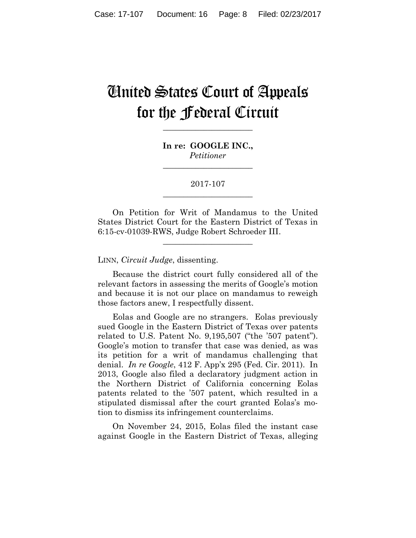## United States Court of Appeals for the Federal Circuit

**In re: GOOGLE INC.,** *Petitioner*

**\_\_\_\_\_\_\_\_\_\_\_\_\_\_\_\_\_\_\_\_\_\_**

**\_\_\_\_\_\_\_\_\_\_\_\_\_\_\_\_\_\_\_\_\_\_**

2017-107 **\_\_\_\_\_\_\_\_\_\_\_\_\_\_\_\_\_\_\_\_\_\_**

On Petition for Writ of Mandamus to the United States District Court for the Eastern District of Texas in 6:15-cv-01039-RWS, Judge Robert Schroeder III.

**\_\_\_\_\_\_\_\_\_\_\_\_\_\_\_\_\_\_\_\_\_\_**

LINN, *Circuit Judge*, dissenting.

Because the district court fully considered all of the relevant factors in assessing the merits of Google's motion and because it is not our place on mandamus to reweigh those factors anew, I respectfully dissent.

Eolas and Google are no strangers. Eolas previously sued Google in the Eastern District of Texas over patents related to U.S. Patent No. 9,195,507 ("the '507 patent"). Google's motion to transfer that case was denied, as was its petition for a writ of mandamus challenging that denial. *In re Google*, 412 F. App'x 295 (Fed. Cir. 2011). In 2013, Google also filed a declaratory judgment action in the Northern District of California concerning Eolas patents related to the '507 patent, which resulted in a stipulated dismissal after the court granted Eolas's motion to dismiss its infringement counterclaims.

On November 24, 2015, Eolas filed the instant case against Google in the Eastern District of Texas, alleging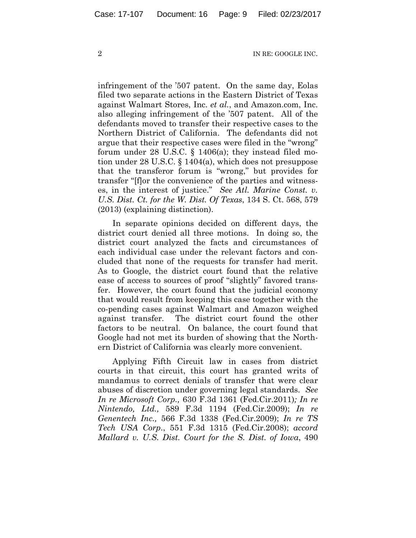infringement of the '507 patent. On the same day, Eolas filed two separate actions in the Eastern District of Texas against Walmart Stores, Inc. *et al.*, and Amazon.com, Inc. also alleging infringement of the '507 patent. All of the defendants moved to transfer their respective cases to the Northern District of California. The defendants did not argue that their respective cases were filed in the "wrong" forum under 28 U.S.C. § 1406(a); they instead filed motion under 28 U.S.C. § 1404(a), which does not presuppose that the transferor forum is "wrong," but provides for transfer "[f]or the convenience of the parties and witnesses, in the interest of justice." *See Atl. Marine Const. v. U.S. Dist. Ct. for the W. Dist. Of Texas*, 134 S. Ct. 568, 579 (2013) (explaining distinction).

In separate opinions decided on different days, the district court denied all three motions. In doing so, the district court analyzed the facts and circumstances of each individual case under the relevant factors and concluded that none of the requests for transfer had merit. As to Google, the district court found that the relative ease of access to sources of proof "slightly" favored transfer. However, the court found that the judicial economy that would result from keeping this case together with the co-pending cases against Walmart and Amazon weighed against transfer. The district court found the other factors to be neutral. On balance, the court found that Google had not met its burden of showing that the Northern District of California was clearly more convenient.

Applying Fifth Circuit law in cases from district courts in that circuit, this court has granted writs of mandamus to correct denials of transfer that were clear abuses of discretion under governing legal standards. *See In re Microsoft Corp.,* 630 F.3d 1361 (Fed.Cir.2011)*; In re Nintendo, Ltd.,* 589 F.3d 1194 (Fed.Cir.2009); *In re Genentech Inc.,* 566 F.3d 1338 (Fed.Cir.2009); *In re TS Tech USA Corp*., 551 F.3d 1315 (Fed.Cir.2008); *accord Mallard v. U.S. Dist. Court for the S. Dist. of Iowa*, 490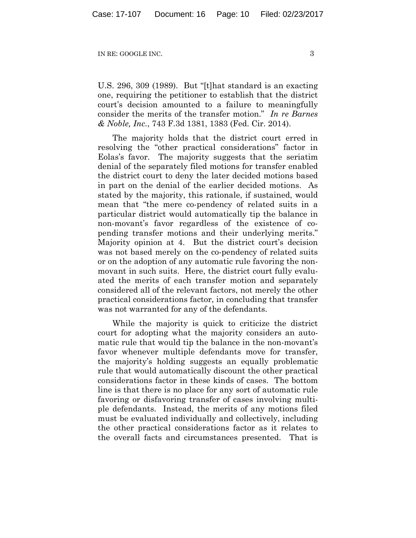U.S. 296, 309 (1989). But "[t]hat standard is an exacting one, requiring the petitioner to establish that the district court's decision amounted to a failure to meaningfully consider the merits of the transfer motion." *In re Barnes & Noble, Inc.*, 743 F.3d 1381, 1383 (Fed. Cir. 2014).

The majority holds that the district court erred in resolving the "other practical considerations" factor in Eolas's favor. The majority suggests that the seriatim denial of the separately filed motions for transfer enabled the district court to deny the later decided motions based in part on the denial of the earlier decided motions. As stated by the majority, this rationale, if sustained, would mean that "the mere co-pendency of related suits in a particular district would automatically tip the balance in non-movant's favor regardless of the existence of copending transfer motions and their underlying merits." Majority opinion at 4. But the district court's decision was not based merely on the co-pendency of related suits or on the adoption of any automatic rule favoring the nonmovant in such suits. Here, the district court fully evaluated the merits of each transfer motion and separately considered all of the relevant factors, not merely the other practical considerations factor, in concluding that transfer was not warranted for any of the defendants.

While the majority is quick to criticize the district court for adopting what the majority considers an automatic rule that would tip the balance in the non-movant's favor whenever multiple defendants move for transfer, the majority's holding suggests an equally problematic rule that would automatically discount the other practical considerations factor in these kinds of cases. The bottom line is that there is no place for any sort of automatic rule favoring or disfavoring transfer of cases involving multiple defendants. Instead, the merits of any motions filed must be evaluated individually and collectively, including the other practical considerations factor as it relates to the overall facts and circumstances presented. That is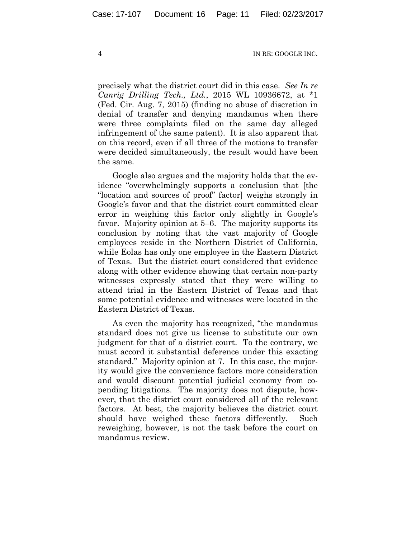precisely what the district court did in this case. *See In re Canrig Drilling Tech., Ltd.*, 2015 WL 10936672, at \*1 (Fed. Cir. Aug. 7, 2015) (finding no abuse of discretion in denial of transfer and denying mandamus when there were three complaints filed on the same day alleged infringement of the same patent). It is also apparent that on this record, even if all three of the motions to transfer were decided simultaneously, the result would have been the same.

Google also argues and the majority holds that the evidence "overwhelmingly supports a conclusion that [the "location and sources of proof" factor] weighs strongly in Google's favor and that the district court committed clear error in weighing this factor only slightly in Google's favor. Majority opinion at 5–6. The majority supports its conclusion by noting that the vast majority of Google employees reside in the Northern District of California, while Eolas has only one employee in the Eastern District of Texas. But the district court considered that evidence along with other evidence showing that certain non-party witnesses expressly stated that they were willing to attend trial in the Eastern District of Texas and that some potential evidence and witnesses were located in the Eastern District of Texas.

As even the majority has recognized, "the mandamus standard does not give us license to substitute our own judgment for that of a district court. To the contrary, we must accord it substantial deference under this exacting standard." Majority opinion at 7. In this case, the majority would give the convenience factors more consideration and would discount potential judicial economy from copending litigations. The majority does not dispute, however, that the district court considered all of the relevant factors. At best, the majority believes the district court should have weighed these factors differently. Such reweighing, however, is not the task before the court on mandamus review.